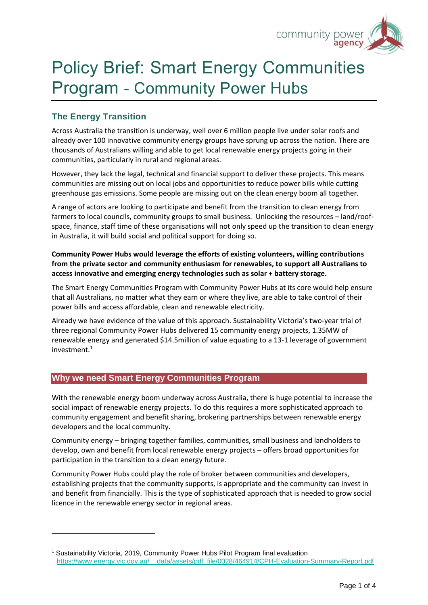

# Policy Brief: Smart Energy Communities Program - Community Power Hubs

## **The Energy Transition**

Across Australia the transition is underway, well over 6 million people live under solar roofs and already over 100 innovative community energy groups have sprung up across the nation. There are thousands of Australians willing and able to get local renewable energy projects going in their communities, particularly in rural and regional areas.

However, they lack the legal, technical and financial support to deliver these projects. This means communities are missing out on local jobs and opportunities to reduce power bills while cutting greenhouse gas emissions. Some people are missing out on the clean energy boom all together.

A range of actors are looking to participate and benefit from the transition to clean energy from farmers to local councils, community groups to small business. Unlocking the resources – land/roofspace, finance, staff time of these organisations will not only speed up the transition to clean energy in Australia, it will build social and political support for doing so.

## **Community Power Hubs would leverage the efforts of existing volunteers, willing contributions from the private sector and community enthusiasm for renewables, to support all Australians to access innovative and emerging energy technologies such as solar + battery storage.**

The Smart Energy Communities Program with Community Power Hubs at its core would help ensure that all Australians, no matter what they earn or where they live, are able to take control of their power bills and access affordable, clean and renewable electricity.

Already we have evidence of the value of this approach. Sustainability Victoria's two-year trial of three regional Community Power Hubs delivered 15 community energy projects, 1.35MW of renewable energy and generated \$14.5million of value equating to a 13-1 leverage of government investment.<sup>1</sup>

## **Why we need Smart Energy Communities Program**

With the renewable energy boom underway across Australia, there is huge potential to increase the social impact of renewable energy projects. To do this requires a more sophisticated approach to community engagement and benefit sharing, brokering partnerships between renewable energy developers and the local community.

Community energy – bringing together families, communities, small business and landholders to develop, own and benefit from local renewable energy projects – offers broad opportunities for participation in the transition to a clean energy future.

Community Power Hubs could play the role of broker between communities and developers, establishing projects that the community supports, is appropriate and the community can invest in and benefit from financially. This is the type of sophisticated approach that is needed to grow social licence in the renewable energy sector in regional areas.

<sup>&</sup>lt;sup>1</sup> Sustainability Victoria, 2019, Community Power Hubs Pilot Program final evaluation https://www.energy.vic.gov.au/ data/assets/pdf file/0028/464914/CPH-Evaluation-Summary-Report.pdf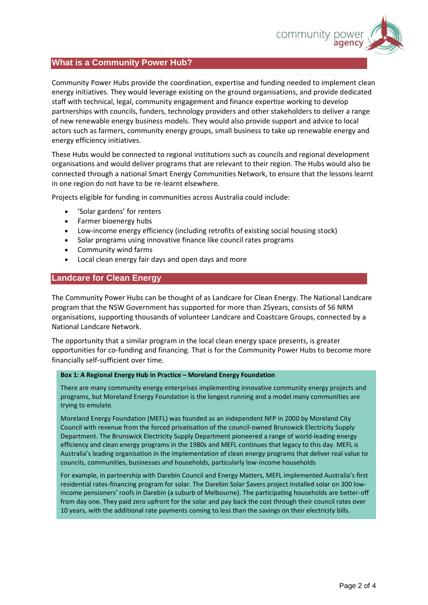

#### **What is a Community Power Hub?**

Community Power Hubs provide the coordination, expertise and funding needed to implement clean energy initiatives. They would leverage existing on the ground organisations, and provide dedicated staff with technical, legal, community engagement and finance expertise working to develop partnerships with councils, funders, technology providers and other stakeholders to deliver a range of new renewable energy business models. They would also provide support and advice to local actors such as farmers, community energy groups, small business to take up renewable energy and energy efficiency initiatives.

These Hubs would be connected to regional institutions such as councils and regional development organisations and would deliver programs that are relevant to their region. The Hubs would also be connected through a national Smart Energy Communities Network, to ensure that the lessons learnt in one region do not have to be re-learnt elsewhere.

Projects eligible for funding in communities across Australia could include:

- 'Solar gardens' for renters
- Farmer bioenergy hubs
- Low-income energy efficiency (including retrofits of existing social housing stock)
- Solar programs using innovative finance like council rates programs
- Community wind farms
- Local clean energy fair days and open days and more

#### **Landcare for Clean Energy**

The Community Power Hubs can be thought of as Landcare for Clean Energy. The National Landcare program that the NSW Government has supported for more than 25years, consists of 56 NRM organisations, supporting thousands of volunteer Landcare and Coastcare Groups, connected by a National Landcare Network.

The opportunity that a similar program in the local clean energy space presents, is greater opportunities for co-funding and financing. That is for the Community Power Hubs to become more financially self-sufficient over time.

#### **Box 1: A Regional Energy Hub in Practice – Moreland Energy Foundation**

There are many community energy enterprises implementing innovative community energy projects and programs, but Moreland Energy Foundation is the longest running and a model many communities are trying to emulate.

Moreland Energy Foundation (MEFL) was founded as an independent NFP in 2000 by Moreland City Council with revenue from the forced privatisation of the council-owned Brunswick Electricity Supply Department. The Brunswick Electricity Supply Department pioneered a range of world-leading energy efficiency and clean energy programs in the 1980s and MEFL continues that legacy to this day. MEFL is Australia's leading organisation in the implementation of clean energy programs that deliver real value to councils, communities, businesses and households, particularly low-income households

For example, in partnership with Darebin Council and Energy Matters, MEFL implemented Australia's first residential rates-financing program for solar. The Darebin Solar \$avers project installed solar on 300 lowincome pensioners' roofs in Darebin (a suburb of Melbourne). The participating households are better-off from day one. They paid zero upfront for the solar and pay back the cost through their council rates over 10 years, with the additional rate payments coming to less than the savings on their electricity bills.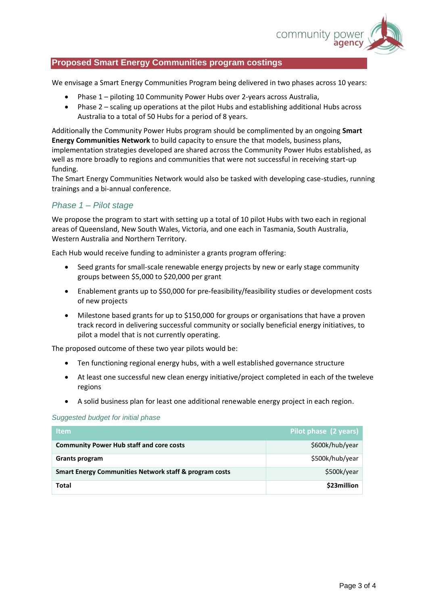

## **Proposed Smart Energy Communities program costings**

We envisage a Smart Energy Communities Program being delivered in two phases across 10 years:

- Phase 1 piloting 10 Community Power Hubs over 2-years across Australia,
- Phase 2 scaling up operations at the pilot Hubs and establishing additional Hubs across Australia to a total of 50 Hubs for a period of 8 years.

Additionally the Community Power Hubs program should be complimented by an ongoing **Smart Energy Communities Network** to build capacity to ensure the that models, business plans, implementation strategies developed are shared across the Community Power Hubs established, as well as more broadly to regions and communities that were not successful in receiving start-up funding.

The Smart Energy Communities Network would also be tasked with developing case-studies, running trainings and a bi-annual conference.

## *Phase 1 – Pilot stage*

We propose the program to start with setting up a total of 10 pilot Hubs with two each in regional areas of Queensland, New South Wales, Victoria, and one each in Tasmania, South Australia, Western Australia and Northern Territory.

Each Hub would receive funding to administer a grants program offering:

- Seed grants for small-scale renewable energy projects by new or early stage community groups between \$5,000 to \$20,000 per grant
- Enablement grants up to \$50,000 for pre-feasibility/feasibility studies or development costs of new projects
- Milestone based grants for up to \$150,000 for groups or organisations that have a proven track record in delivering successful community or socially beneficial energy initiatives, to pilot a model that is not currently operating.

The proposed outcome of these two year pilots would be:

- Ten functioning regional energy hubs, with a well established governance structure
- At least one successful new clean energy initiative/project completed in each of the tweleve regions
- A solid business plan for least one additional renewable energy project in each region.

#### *Suggested budget for initial phase*

| ltem.                                                             | Pilot phase (2 years) |
|-------------------------------------------------------------------|-----------------------|
| <b>Community Power Hub staff and core costs</b>                   | \$600k/hub/year       |
| <b>Grants program</b>                                             | \$500k/hub/year       |
| <b>Smart Energy Communities Network staff &amp; program costs</b> | \$500k/year           |
| Total                                                             | \$23million           |